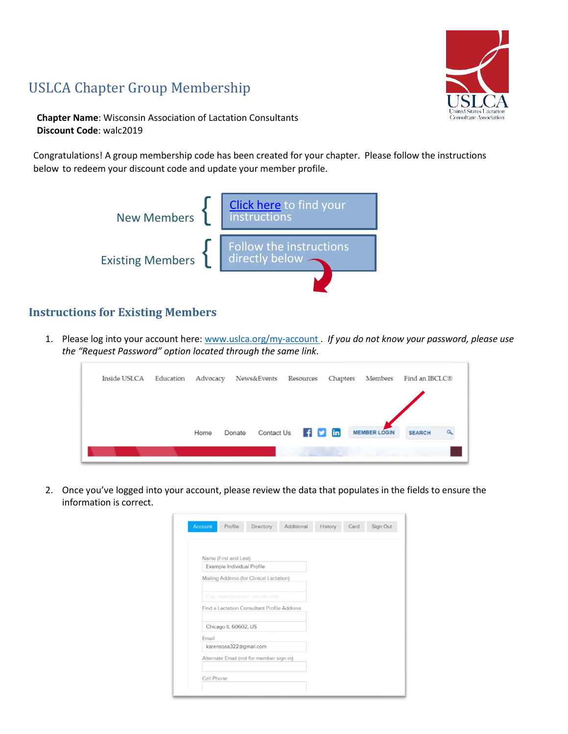## USLCA Chapter Group Membership



**Chapter Name**: Wisconsin Association of Lactation Consultants **Discount Code**: walc2019

Congratulations! A group membership code has been created for your chapter. Please follow the instructions below to redeem your discount code and update your member profile.



## **Instructions for Existing Members**

1. Please log into your account here[: www.uslca.org/my-account](http://www.uslca.org/my-account) . *If you do not know your password, please use the "Request Password" option located through the same link.*

| Education<br>Inside USLCA |      | Advocacy News&Events Resources |                | Chapters | Members             | Find an IBCLC® |  |
|---------------------------|------|--------------------------------|----------------|----------|---------------------|----------------|--|
|                           |      |                                |                |          |                     |                |  |
|                           | Home | <b>Contact Us</b><br>Donate    | $\blacksquare$ |          | <b>MEMBER LOGIN</b> | <b>SEARCH</b>  |  |
|                           |      |                                |                |          |                     |                |  |

2. Once you've logged into your account, please review the data that populates in the fields to ensure the information is correct.

| <b>Account</b>    | Profile                    | Directory                                   | Additional | History | Card | <b>Sign Out</b> |
|-------------------|----------------------------|---------------------------------------------|------------|---------|------|-----------------|
|                   |                            |                                             |            |         |      |                 |
|                   |                            |                                             |            |         |      |                 |
|                   | Name (First and Last)      |                                             |            |         |      |                 |
|                   | Example Individual Profile |                                             |            |         |      |                 |
|                   |                            | Mailing Address (for Clinical Lactation)    |            |         |      |                 |
|                   |                            |                                             |            |         |      |                 |
|                   |                            | City, state/province, postal code           |            |         |      |                 |
|                   |                            | Find a Lactation Consultant Profile Address |            |         |      |                 |
|                   |                            |                                             |            |         |      |                 |
|                   | Chicago IL 60602, US       |                                             |            |         |      |                 |
|                   |                            |                                             |            |         |      |                 |
| Email             |                            |                                             |            |         |      |                 |
|                   | karensosa322@gmail.com     |                                             |            |         |      |                 |
|                   |                            | Alternate Email (not for member sign-in)    |            |         |      |                 |
|                   |                            |                                             |            |         |      |                 |
| <b>Cell Phone</b> |                            |                                             |            |         |      |                 |
|                   |                            |                                             |            |         |      |                 |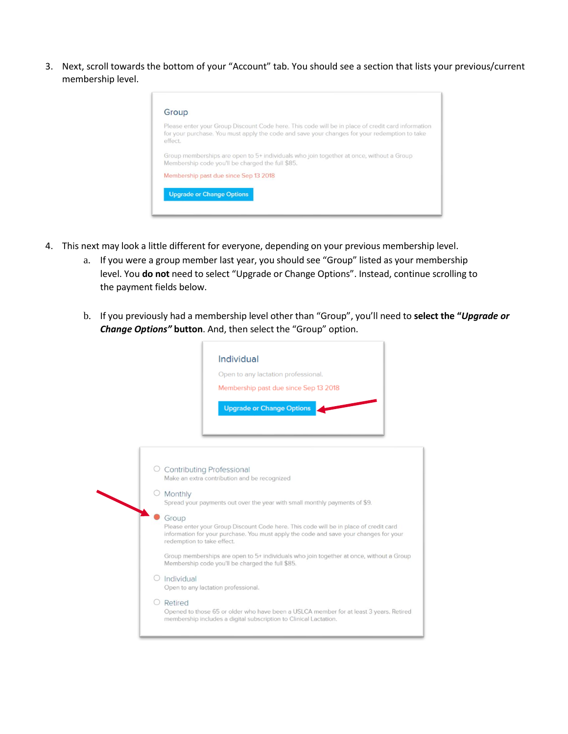3. Next, scroll towards the bottom of your "Account" tab. You should see a section that lists your previous/current membership level.



- 4. This next may look a little different for everyone, depending on your previous membership level.
	- a. If you were a group member last year, you should see "Group" listed as your membership level. You **do not** need to select "Upgrade or Change Options". Instead, continue scrolling to the payment fields below.
	- b. If you previously had a membership level other than "Group", you'll need to **select the "***Upgrade or Change Options"* **button**. And, then select the "Group" option.

 $\overline{4}$ 

| Individual<br>Open to any lactation professional.<br>Membership past due since Sep 13 2018<br><b>Upgrade or Change Options</b>                                                                                                                                                                                                                                                                                                                                                                                                                                                                                         |
|------------------------------------------------------------------------------------------------------------------------------------------------------------------------------------------------------------------------------------------------------------------------------------------------------------------------------------------------------------------------------------------------------------------------------------------------------------------------------------------------------------------------------------------------------------------------------------------------------------------------|
| O Contributing Professional<br>Make an extra contribution and be recognized<br>Monthly<br>Spread your payments out over the year with small monthly payments of \$9.<br>Group<br>Please enter your Group Discount Code here. This code will be in place of credit card<br>information for your purchase. You must apply the code and save your changes for your<br>redemption to take effect.<br>Group memberships are open to 5+ individuals who join together at once, without a Group<br>Membership code you'll be charged the full \$85.<br>$\circ$ Individual<br>Open to any lactation professional.<br>O Retired |
| Opened to those 65 or older who have been a USLCA member for at least 3 years. Retired<br>membership includes a digital subscription to Clinical Lactation.                                                                                                                                                                                                                                                                                                                                                                                                                                                            |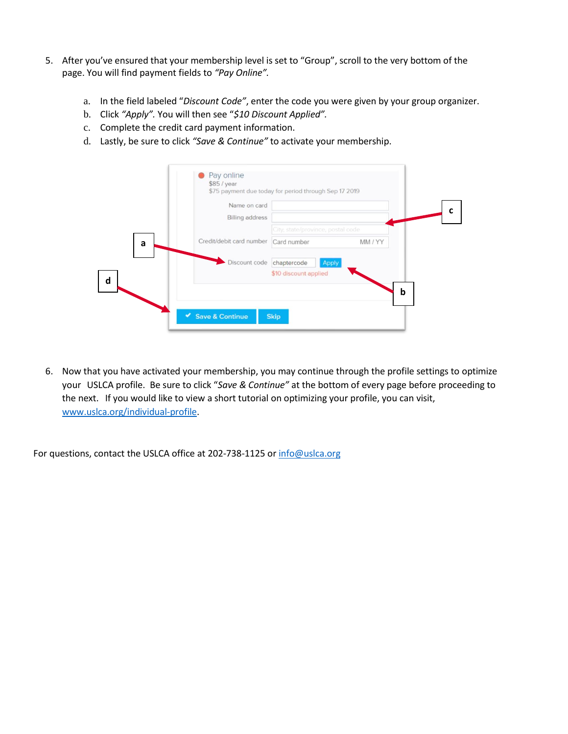- 5. After you've ensured that your membership level is set to "Group", scroll to the very bottom of the page. You will find payment fields to *"Pay Online".*
	- a. In the field labeled "*Discount Code"*, enter the code you were given by your group organizer.
	- b. Click *"Apply".* You will then see "*\$10 Discount Applied".*
	- c. Complete the credit card payment information.
	- d. Lastly, be sure to click *"Save & Continue"* to activate your membership.

|             | Name on card             | \$75 payment due today for period through Sep 17 2019 |         |   | C |
|-------------|--------------------------|-------------------------------------------------------|---------|---|---|
|             | <b>Billing address</b>   |                                                       |         |   |   |
|             |                          | City, state/province, postal code                     |         |   |   |
| a           | Credit/debit card number | Card number                                           | MM / YY |   |   |
|             | Discount code            | chaptercode<br>Apply                                  |         |   |   |
|             |                          | \$10 discount applied                                 |         |   |   |
| $\mathbf d$ |                          |                                                       |         |   |   |
|             |                          |                                                       |         | b |   |
|             |                          |                                                       |         |   |   |

6. Now that you have activated your membership, you may continue through the profile settings to optimize your USLCA profile. Be sure to click "*Save & Continue"* at the bottom of every page before proceeding to the next. If you would like to view a short tutorial on optimizing your profile, you can visit, [www.uslca.org/individual-profile.](http://www.uslca.org/individual-profile)

For questions, contact the USLCA office at 202-738-1125 or [info@uslca.org](mailto:info@uslca.org)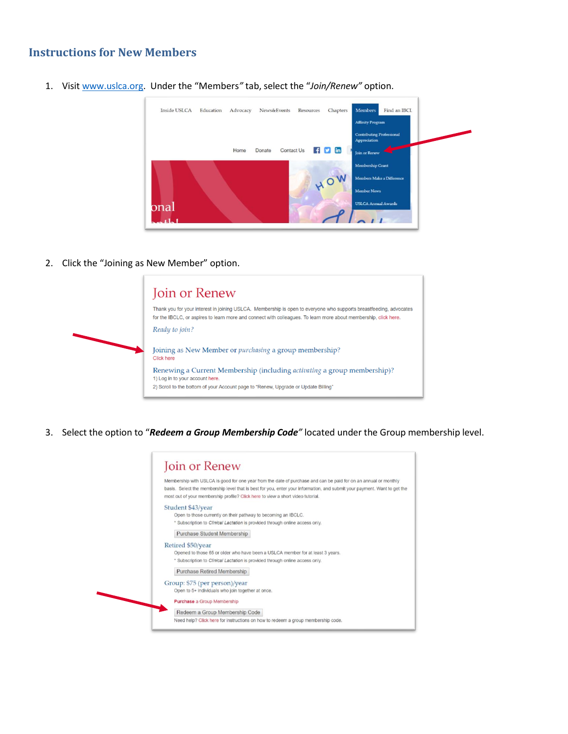## <span id="page-3-0"></span>**Instructions for New Members**



1. Visit [www.uslca.org.](http://www.uslca.org/) Under the "Members*"* tab, select the "*Join/Renew"* option.

2. Click the "Joining as New Member" option.

| Join or Renew                                                                                                                                                                                                                          |
|----------------------------------------------------------------------------------------------------------------------------------------------------------------------------------------------------------------------------------------|
| Thank you for your interest in joining USLCA. Membership is open to everyone who supports breastfeeding, advocates<br>for the IBCLC, or aspires to learn more and connect with colleagues. To learn more about membership, click here. |
| Ready to join?                                                                                                                                                                                                                         |
| Joining as New Member or <i>purchasing</i> a group membership?<br>Click here                                                                                                                                                           |
| Renewing a Current Membership (including <i>activating</i> a group membership)?<br>1) Log in to your account here.                                                                                                                     |
| 2) Scroll to the bottom of your Account page to "Renew, Upgrade or Update Billing"                                                                                                                                                     |

3. Select the option to "*Redeem a Group Membership Code"* located under the Group membership level.

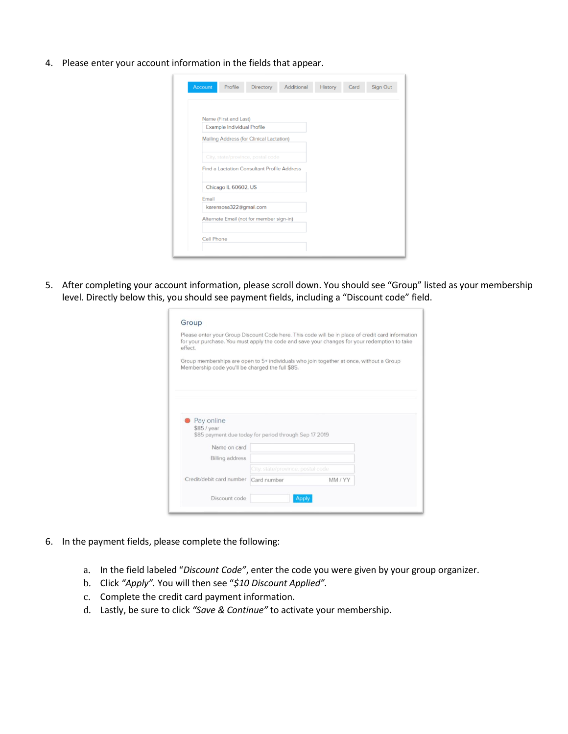4. Please enter your account information in the fields that appear.

| <b>Account</b> | Profile                                     | Directory | History | Card | <b>Sign Out</b> |
|----------------|---------------------------------------------|-----------|---------|------|-----------------|
|                |                                             |           |         |      |                 |
|                | Name (First and Last)                       |           |         |      |                 |
|                | Example Individual Profile                  |           |         |      |                 |
|                | Mailing Address (for Clinical Lactation)    |           |         |      |                 |
|                | City, state/province, postal code           |           |         |      |                 |
|                | Find a Lactation Consultant Profile Address |           |         |      |                 |
|                | Chicago IL 60602, US                        |           |         |      |                 |
|                | Email                                       |           |         |      |                 |
|                | karensosa322@gmail.com                      |           |         |      |                 |
|                | Alternate Email (not for member sign-in)    |           |         |      |                 |
|                |                                             |           |         |      |                 |
|                | <b>Cell Phone</b>                           |           |         |      |                 |

5. After completing your account information, please scroll down. You should see "Group" listed as your membership level. Directly below this, you should see payment fields, including a "Discount code" field.

| for your purchase. You must apply the code and save your changes for your redemption to take<br>effect.                                     |                                                       | Please enter your Group Discount Code here. This code will be in place of credit card information |  |
|---------------------------------------------------------------------------------------------------------------------------------------------|-------------------------------------------------------|---------------------------------------------------------------------------------------------------|--|
| Group memberships are open to 5+ individuals who join together at once, without a Group<br>Membership code you'll be charged the full \$85. |                                                       |                                                                                                   |  |
|                                                                                                                                             |                                                       |                                                                                                   |  |
|                                                                                                                                             |                                                       |                                                                                                   |  |
|                                                                                                                                             |                                                       |                                                                                                   |  |
| Pay online<br>\$85 / year                                                                                                                   | \$85 payment due today for period through Sep 17 2019 |                                                                                                   |  |
|                                                                                                                                             |                                                       |                                                                                                   |  |
| Name on card                                                                                                                                |                                                       |                                                                                                   |  |
| <b>Billing address</b>                                                                                                                      |                                                       |                                                                                                   |  |
|                                                                                                                                             | City, state/province, postal code                     |                                                                                                   |  |
| Credit/debit card number                                                                                                                    | Card number                                           | MM / YY                                                                                           |  |

- 6. In the payment fields, please complete the following:
	- a. In the field labeled "*Discount Code"*, enter the code you were given by your group organizer.
	- b. Click *"Apply".* You will then see "*\$10 Discount Applied".*
	- c. Complete the credit card payment information.
	- d. Lastly, be sure to click *"Save & Continue"* to activate your membership.